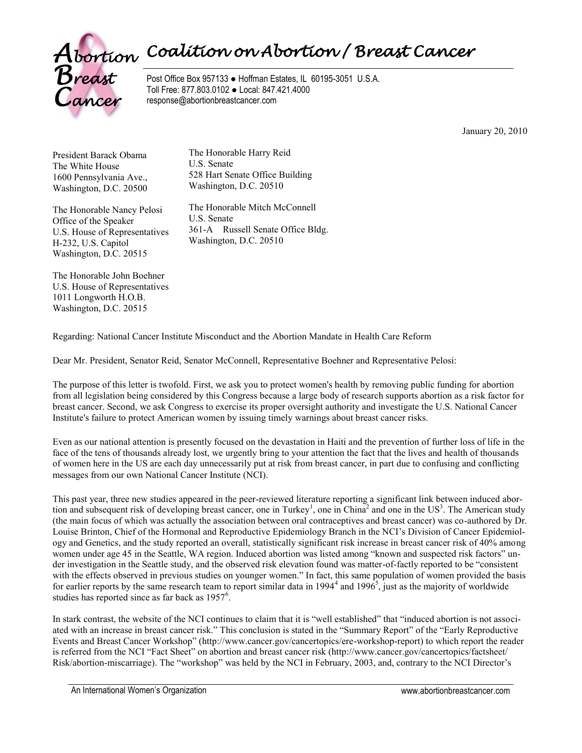

Post Office Box 957133 ● Hoffman Estates, IL 60195-3051 U.S.A. Toll Free: 877.803.0102 ● Local: 847.421.4000 response@abortionbreastcancer.com

January 20, 2010

President Barack Obama The White House 1600 Pennsylvania Ave., Washington, D.C. 20500

The Honorable Nancy Pelosi Office of the Speaker U.S. House of Representatives H-232, U.S. Capitol Washington, D.C. 20515

The Honorable Harry Reid U.S. Senate 528 Hart Senate Office Building Washington, D.C. 20510

The Honorable Mitch McConnell U.S. Senate 361-A Russell Senate Office Bldg. Washington, D.C. 20510

The Honorable John Boehner U.S. House of Representatives 1011 Longworth H.O.B. Washington, D.C. 20515

Regarding: National Cancer Institute Misconduct and the Abortion Mandate in Health Care Reform

Dear Mr. President, Senator Reid, Senator McConnell, Representative Boehner and Representative Pelosi:

The purpose of this letter is twofold. First, we ask you to protect women's health by removing public funding for abortion from all legislation being considered by this Congress because a large body of research supports abortion as a risk factor for breast cancer. Second, we ask Congress to exercise its proper oversight authority and investigate the U.S. National Cancer Institute's failure to protect American women by issuing timely warnings about breast cancer risks.

Even as our national attention is presently focused on the devastation in Haiti and the prevention of further loss of life in the face of the tens of thousands already lost, we urgently bring to your attention the fact that the lives and health of thousands of women here in the US are each day unnecessarily put at risk from breast cancer, in part due to confusing and conflicting messages from our own National Cancer Institute (NCI).

This past year, three new studies appeared in the peer-reviewed literature reporting a significant link between induced abortion and subsequent risk of developing breast cancer, one in Turkey<sup>1</sup>, one in China<sup>2</sup> and one in the US<sup>3</sup>. The American study (the main focus of which was actually the association between oral contraceptives and breast cancer) was co-authored by Dr. Louise Brinton, Chief of the Hormonal and Reproductive Epidemiology Branch in the NCI's Division of Cancer Epidemiology and Genetics, and the study reported an overall, statistically significant risk increase in breast cancer risk of 40% among women under age 45 in the Seattle, WA region. Induced abortion was listed among "known and suspected risk factors" under investigation in the Seattle study, and the observed risk elevation found was matter-of-factly reported to be "consistent with the effects observed in previous studies on younger women." In fact, this same population of women provided the basis for earlier reports by the same research team to report similar data in  $1994^4$  and  $1996^5$ , just as the majority of worldwide studies has reported since as far back as  $1957<sup>6</sup>$ .

In stark contrast, the website of the NCI continues to claim that it is "well established" that "induced abortion is not associated with an increase in breast cancer risk." This conclusion is stated in the "Summary Report" of the "Early Reproductive Events and Breast Cancer Workshop" (http://www.cancer.gov/cancertopics/ere-workshop-report) to which report the reader is referred from the NCI "Fact Sheet" on abortion and breast cancer risk (http://www.cancer.gov/cancertopics/factsheet/ Risk/abortion-miscarriage). The "workshop" was held by the NCI in February, 2003, and, contrary to the NCI Director's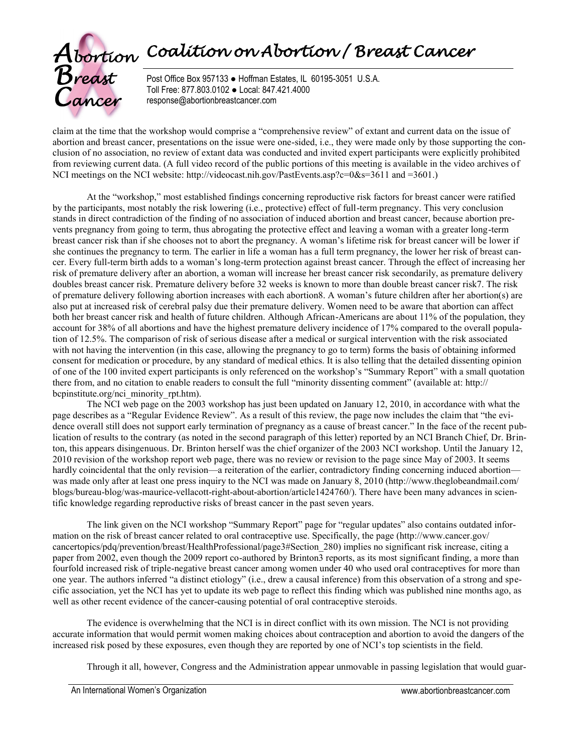

Post Office Box 957133 ● Hoffman Estates, IL 60195-3051 U.S.A. Toll Free: 877.803.0102 ● Local: 847.421.4000 response@abortionbreastcancer.com

claim at the time that the workshop would comprise a "comprehensive review" of extant and current data on the issue of abortion and breast cancer, presentations on the issue were one-sided, i.e., they were made only by those supporting the conclusion of no association, no review of extant data was conducted and invited expert participants were explicitly prohibited from reviewing current data. (A full video record of the public portions of this meeting is available in the video archives of NCI meetings on the NCI website: http://videocast.nih.gov/PastEvents.asp?c=0&s=3611 and =3601.)

At the "workshop," most established findings concerning reproductive risk factors for breast cancer were ratified by the participants, most notably the risk lowering (i.e., protective) effect of full-term pregnancy. This very conclusion stands in direct contradiction of the finding of no association of induced abortion and breast cancer, because abortion prevents pregnancy from going to term, thus abrogating the protective effect and leaving a woman with a greater long-term breast cancer risk than if she chooses not to abort the pregnancy. A woman's lifetime risk for breast cancer will be lower if she continues the pregnancy to term. The earlier in life a woman has a full term pregnancy, the lower her risk of breast cancer. Every full-term birth adds to a woman's long-term protection against breast cancer. Through the effect of increasing her risk of premature delivery after an abortion, a woman will increase her breast cancer risk secondarily, as premature delivery doubles breast cancer risk. Premature delivery before 32 weeks is known to more than double breast cancer risk7. The risk of premature delivery following abortion increases with each abortion8. A woman's future children after her abortion(s) are also put at increased risk of cerebral palsy due their premature delivery. Women need to be aware that abortion can affect both her breast cancer risk and health of future children. Although African-Americans are about 11% of the population, they account for 38% of all abortions and have the highest premature delivery incidence of 17% compared to the overall population of 12.5%. The comparison of risk of serious disease after a medical or surgical intervention with the risk associated with not having the intervention (in this case, allowing the pregnancy to go to term) forms the basis of obtaining informed consent for medication or procedure, by any standard of medical ethics. It is also telling that the detailed dissenting opinion of one of the 100 invited expert participants is only referenced on the workshop's "Summary Report" with a small quotation there from, and no citation to enable readers to consult the full "minority dissenting comment" (available at: http:// bcpinstitute.org/nci\_minority\_rpt.htm).

The NCI web page on the 2003 workshop has just been updated on January 12, 2010, in accordance with what the page describes as a "Regular Evidence Review". As a result of this review, the page now includes the claim that "the evidence overall still does not support early termination of pregnancy as a cause of breast cancer." In the face of the recent publication of results to the contrary (as noted in the second paragraph of this letter) reported by an NCI Branch Chief, Dr. Brinton, this appears disingenuous. Dr. Brinton herself was the chief organizer of the 2003 NCI workshop. Until the January 12, 2010 revision of the workshop report web page, there was no review or revision to the page since May of 2003. It seems hardly coincidental that the only revision—a reiteration of the earlier, contradictory finding concerning induced abortion was made only after at least one press inquiry to the NCI was made on January 8, 2010 (http://www.theglobeandmail.com/ blogs/bureau-blog/was-maurice-vellacott-right-about-abortion/article1424760/). There have been many advances in scientific knowledge regarding reproductive risks of breast cancer in the past seven years.

The link given on the NCI workshop "Summary Report" page for "regular updates" also contains outdated information on the risk of breast cancer related to oral contraceptive use. Specifically, the page (http://www.cancer.gov/ cancertopics/pdq/prevention/breast/HealthProfessional/page3#Section\_280) implies no significant risk increase, citing a paper from 2002, even though the 2009 report co-authored by Brinton3 reports, as its most significant finding, a more than fourfold increased risk of triple-negative breast cancer among women under 40 who used oral contraceptives for more than one year. The authors inferred "a distinct etiology" (i.e., drew a causal inference) from this observation of a strong and specific association, yet the NCI has yet to update its web page to reflect this finding which was published nine months ago, as well as other recent evidence of the cancer-causing potential of oral contraceptive steroids.

The evidence is overwhelming that the NCI is in direct conflict with its own mission. The NCI is not providing accurate information that would permit women making choices about contraception and abortion to avoid the dangers of the increased risk posed by these exposures, even though they are reported by one of NCI's top scientists in the field.

Through it all, however, Congress and the Administration appear unmovable in passing legislation that would guar-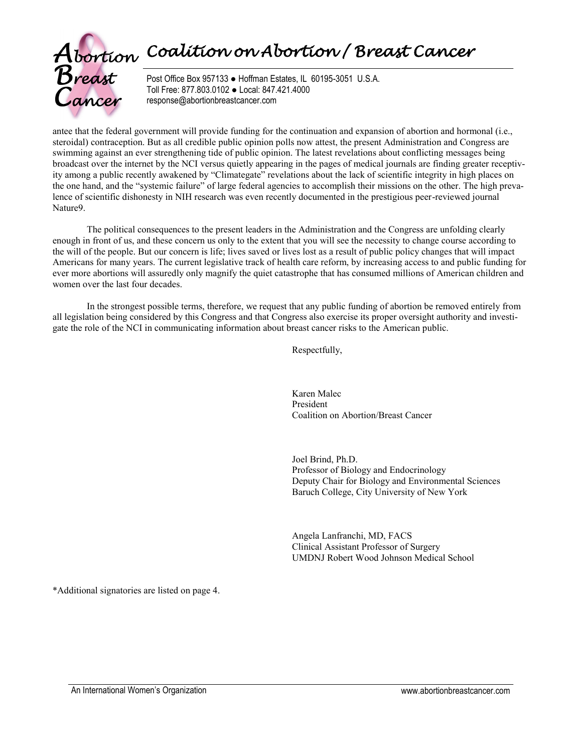# *Abortion Coalition on Abortion / Breast Cancer*<br>*Breast* Post Office Box 957133 • Hoffman Estates, IL 60195-3051 U.S.A.



Post Office Box 957133 ● Hoffman Estates, IL 60195-3051 U.S.A. Toll Free: 877.803.0102 ● Local: 847.421.4000 response@abortionbreastcancer.com

antee that the federal government will provide funding for the continuation and expansion of abortion and hormonal (i.e., steroidal) contraception. But as all credible public opinion polls now attest, the present Administration and Congress are swimming against an ever strengthening tide of public opinion. The latest revelations about conflicting messages being broadcast over the internet by the NCI versus quietly appearing in the pages of medical journals are finding greater receptivity among a public recently awakened by "Climategate" revelations about the lack of scientific integrity in high places on the one hand, and the "systemic failure" of large federal agencies to accomplish their missions on the other. The high prevalence of scientific dishonesty in NIH research was even recently documented in the prestigious peer-reviewed journal Nature9.

The political consequences to the present leaders in the Administration and the Congress are unfolding clearly enough in front of us, and these concern us only to the extent that you will see the necessity to change course according to the will of the people. But our concern is life; lives saved or lives lost as a result of public policy changes that will impact Americans for many years. The current legislative track of health care reform, by increasing access to and public funding for ever more abortions will assuredly only magnify the quiet catastrophe that has consumed millions of American children and women over the last four decades.

In the strongest possible terms, therefore, we request that any public funding of abortion be removed entirely from all legislation being considered by this Congress and that Congress also exercise its proper oversight authority and investigate the role of the NCI in communicating information about breast cancer risks to the American public.

Respectfully,

Karen Malec President Coalition on Abortion/Breast Cancer

Joel Brind, Ph.D. Professor of Biology and Endocrinology Deputy Chair for Biology and Environmental Sciences Baruch College, City University of New York

Angela Lanfranchi, MD, FACS Clinical Assistant Professor of Surgery UMDNJ Robert Wood Johnson Medical School

\*Additional signatories are listed on page 4.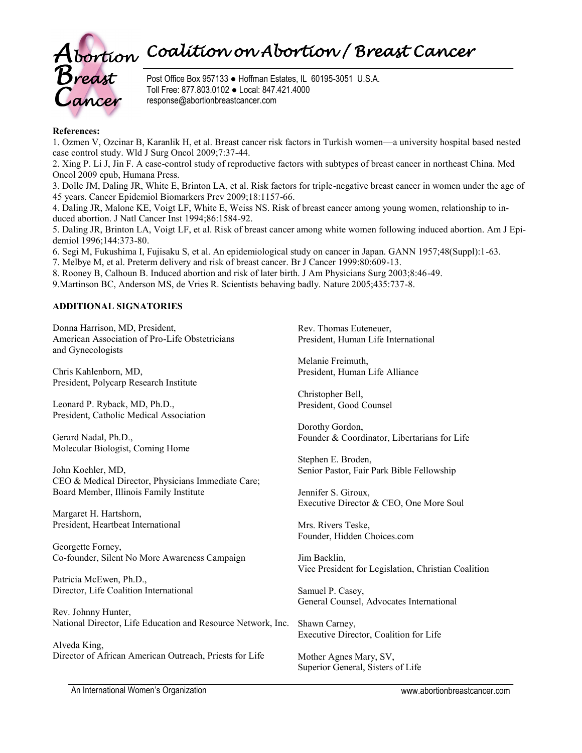

Post Office Box 957133 ● Hoffman Estates, IL 60195-3051 U.S.A. Toll Free: 877.803.0102 ● Local: 847.421.4000 response@abortionbreastcancer.com

#### **References:**

1. Ozmen V, Ozcinar B, Karanlik H, et al. Breast cancer risk factors in Turkish women—a university hospital based nested case control study. Wld J Surg Oncol 2009;7:37-44.

2. Xing P. Li J, Jin F. A case-control study of reproductive factors with subtypes of breast cancer in northeast China. Med Oncol 2009 epub, Humana Press.

3. Dolle JM, Daling JR, White E, Brinton LA, et al. Risk factors for triple-negative breast cancer in women under the age of 45 years. Cancer Epidemiol Biomarkers Prev 2009;18:1157-66.

4. Daling JR, Malone KE, Voigt LF, White E, Weiss NS. Risk of breast cancer among young women, relationship to induced abortion. J Natl Cancer Inst 1994;86:1584-92.

5. Daling JR, Brinton LA, Voigt LF, et al. Risk of breast cancer among white women following induced abortion. Am J Epidemiol 1996;144:373-80.

6. Segi M, Fukushima I, Fujisaku S, et al. An epidemiological study on cancer in Japan. GANN 1957;48(Suppl):1-63.

7. Melbye M, et al. Preterm delivery and risk of breast cancer. Br J Cancer 1999:80:609-13.

8. Rooney B, Calhoun B. Induced abortion and risk of later birth. J Am Physicians Surg 2003;8:46-49.

9.Martinson BC, Anderson MS, de Vries R. Scientists behaving badly. Nature 2005;435:737-8.

### **ADDITIONAL SIGNATORIES**

Donna Harrison, MD, President, American Association of Pro-Life Obstetricians and Gynecologists

Chris Kahlenborn, MD, President, Polycarp Research Institute

Leonard P. Ryback, MD, Ph.D., President, Catholic Medical Association

Gerard Nadal, Ph.D., Molecular Biologist, Coming Home

John Koehler, MD, CEO & Medical Director, Physicians Immediate Care; Board Member, Illinois Family Institute

Margaret H. Hartshorn, President, Heartbeat International

Georgette Forney, Co-founder, Silent No More Awareness Campaign

Patricia McEwen, Ph.D., Director, Life Coalition International

Rev. Johnny Hunter, National Director, Life Education and Resource Network, Inc.

Alveda King, Director of African American Outreach, Priests for Life Rev. Thomas Euteneuer, President, Human Life International

Melanie Freimuth, President, Human Life Alliance

Christopher Bell, President, Good Counsel

Dorothy Gordon, Founder & Coordinator, Libertarians for Life

Stephen E. Broden, Senior Pastor, Fair Park Bible Fellowship

Jennifer S. Giroux, Executive Director & CEO, One More Soul

Mrs. Rivers Teske, Founder, Hidden Choices.com

Jim Backlin, Vice President for Legislation, Christian Coalition

Samuel P. Casey, General Counsel, Advocates International

Shawn Carney, Executive Director, Coalition for Life

Mother Agnes Mary, SV, Superior General, Sisters of Life

An International Women's Organization www.abortionbreastcancer.com